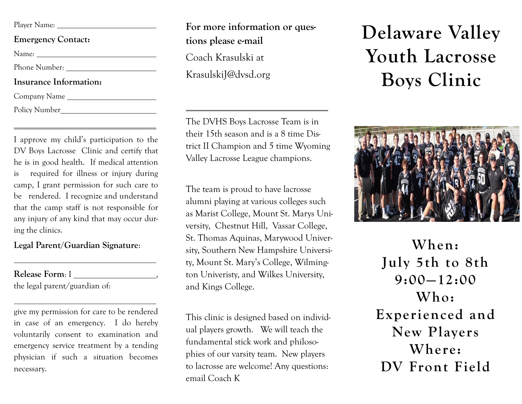| Player Name: |  |
|--------------|--|
|              |  |

**Emergency Contact:**

Name:

Phone Number:

### **Insurance Information:**

Company Name

Policy Number

I approve my child's participation to the DV Boys Lacrosse Clinic and certify that he is in good health. If medical attention is required for illness or injury during camp, I grant permission for such care to be rendered. I recognize and understand that the camp staff is not responsible for any injury of any kind that may occur during the clinics.

### **Legal Parent/Guardian Signature**:

**Release Form**: I ,

the legal parent/guardian of:

give my permission for care to be rendered in case of an emergency. I do hereby voluntarily consent to examination and emergency service treatment by a tending physician if such a situation becomes necessary.

**For more information or questions please e-mail**  Coach Krasulski at KrasulskiJ@dvsd.org

The DVHS Boys Lacrosse Team is in their 15th season and is a 8 time District II Champion and 5 time Wyoming Valley Lacrosse League champions.

The team is proud to have lacrosse alumni playing at various colleges such as Marist College, Mount St. Marys University, Chestnut Hill, Vassar College, St. Thomas Aquinas, Marywood University, Southern New Hampshire University, Mount St. Mary's College, Wilmington Univeristy, and Wilkes University, and Kings College.

This clinic is designed based on individual players growth. We will teach the fundamental stick work and philosophies of our varsity team. New players to lacrosse are welcome! Any questions: email Coach K

# **Delaware Valley Youth Lacrosse Boys Clinic**



**When: July 5th to 8th 9:00—12:00 Who: Experienced and New Players Where: DV Front Field**